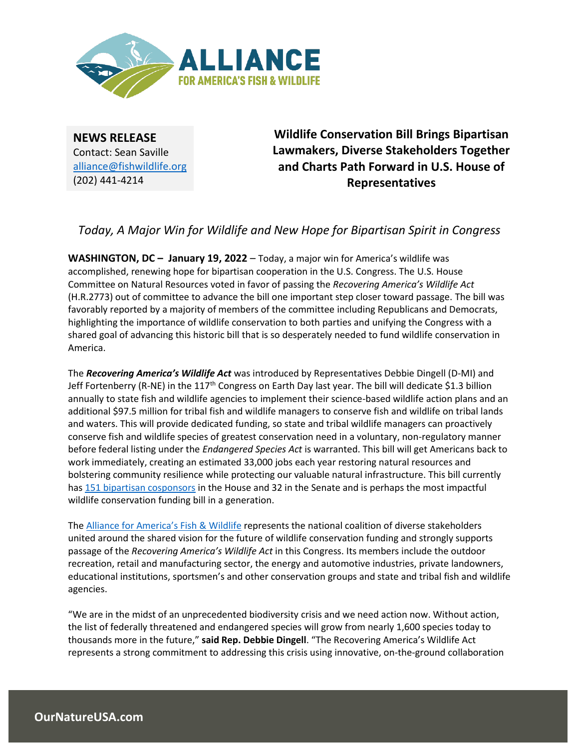

**NEWS RELEASE** Contact: Sean Saville alliance@fishwildlife.org (202) 441-4214

**Wildlife Conservation Bill Brings Bipartisan Lawmakers, Diverse Stakeholders Together and Charts Path Forward in U.S. House of Representatives**

*Today, A Major Win for Wildlife and New Hope for Bipartisan Spirit in Congress*

**WASHINGTON, DC – January 19, 2022** – Today, a major win for America's wildlife was accomplished, renewing hope for bipartisan cooperation in the U.S. Congress. The U.S. House Committee on Natural Resources voted in favor of passing the *Recovering America's Wildlife Act* (H.R.2773) out of committee to advance the bill one important step closer toward passage. The bill was favorably reported by a majority of members of the committee including Republicans and Democrats, highlighting the importance of wildlife conservation to both parties and unifying the Congress with a shared goal of advancing this historic bill that is so desperately needed to fund wildlife conservation in America.

The *Recovering America's Wildlife Act* was introduced by Representatives Debbie Dingell (D-MI) and Jeff Fortenberry (R-NE) in the  $117<sup>th</sup>$  Congress on Earth Day last year. The bill will dedicate \$1.3 billion annually to state fish and wildlife agencies to implement their science-based wildlife action plans and an additional \$97.5 million for tribal fish and wildlife managers to conserve fish and wildlife on tribal lands and waters. This will provide dedicated funding, so state and tribal wildlife managers can proactively conserve fish and wildlife species of greatest conservation need in a voluntary, non-regulatory manner before federal listing under the *Endangered Species Act* is warranted. This bill will get Americans back to work immediately, creating an estimated 33,000 jobs each year restoring natural resources and bolstering community resilience while protecting our valuable natural infrastructure. This bill currently has [151 bipartisan cosponsors](https://www.congress.gov/bill/117th-congress/house-bill/2773/cosponsors?searchResultViewType=expanded) in the House and 32 in the Senate and is perhaps the most impactful wildlife conservation funding bill in a generation.

The [Alliance for America's Fish](https://ournatureusa.com/) & Wildlife represents the national coalition of diverse stakeholders united around the shared vision for the future of wildlife conservation funding and strongly supports passage of the *Recovering America's Wildlife Act* in this Congress. Its members include the outdoor recreation, retail and manufacturing sector, the energy and automotive industries, private landowners, educational institutions, sportsmen's and other conservation groups and state and tribal fish and wildlife agencies.

"We are in the midst of an unprecedented biodiversity crisis and we need action now. Without action, the list of federally threatened and endangered species will grow from nearly 1,600 species today to thousands more in the future," **said Rep. Debbie Dingell**. "The Recovering America's Wildlife Act represents a strong commitment to addressing this crisis using innovative, on-the-ground collaboration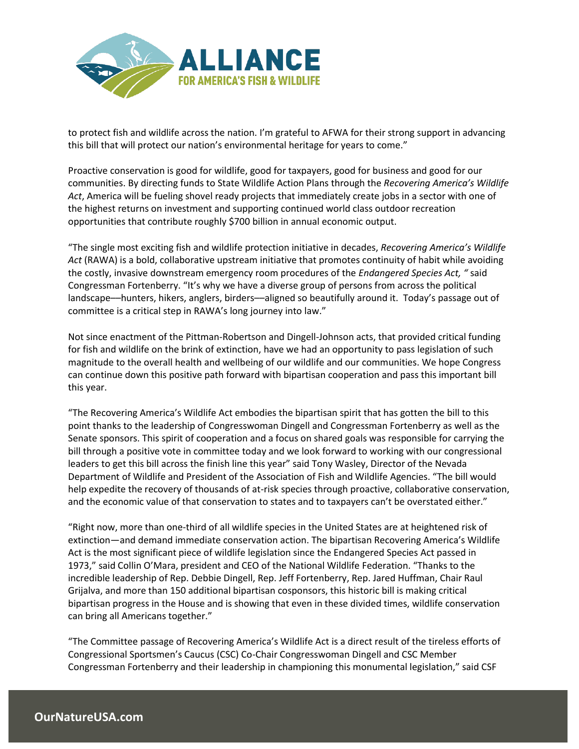

to protect fish and wildlife across the nation. I'm grateful to AFWA for their strong support in advancing this bill that will protect our nation's environmental heritage for years to come."

Proactive conservation is good for wildlife, good for taxpayers, good for business and good for our communities. By directing funds to State Wildlife Action Plans through the *Recovering America's Wildlife Act*, America will be fueling shovel ready projects that immediately create jobs in a sector with one of the highest returns on investment and supporting continued world class outdoor recreation opportunities that contribute roughly \$700 billion in annual economic output.

"The single most exciting fish and wildlife protection initiative in decades, *Recovering America's Wildlife Act* (RAWA) is a bold, collaborative upstream initiative that promotes continuity of habit while avoiding the costly, invasive downstream emergency room procedures of the *Endangered Species Act, "* said Congressman Fortenberry. "It's why we have a diverse group of persons from across the political landscape––hunters, hikers, anglers, birders––aligned so beautifully around it. Today's passage out of committee is a critical step in RAWA's long journey into law."

Not since enactment of the Pittman-Robertson and Dingell-Johnson acts, that provided critical funding for fish and wildlife on the brink of extinction, have we had an opportunity to pass legislation of such magnitude to the overall health and wellbeing of our wildlife and our communities. We hope Congress can continue down this positive path forward with bipartisan cooperation and pass this important bill this year.

"The Recovering America's Wildlife Act embodies the bipartisan spirit that has gotten the bill to this point thanks to the leadership of Congresswoman Dingell and Congressman Fortenberry as well as the Senate sponsors. This spirit of cooperation and a focus on shared goals was responsible for carrying the bill through a positive vote in committee today and we look forward to working with our congressional leaders to get this bill across the finish line this year" said Tony Wasley, Director of the Nevada Department of Wildlife and President of the Association of Fish and Wildlife Agencies. "The bill would help expedite the recovery of thousands of at-risk species through proactive, collaborative conservation, and the economic value of that conservation to states and to taxpayers can't be overstated either."

"Right now, more than one-third of all wildlife species in the United States are at heightened risk of extinction—and demand immediate conservation action. The bipartisan Recovering America's Wildlife Act is the most significant piece of wildlife legislation since the Endangered Species Act passed in 1973," said Collin O'Mara, president and CEO of the National Wildlife Federation. "Thanks to the incredible leadership of Rep. Debbie Dingell, Rep. Jeff Fortenberry, Rep. Jared Huffman, Chair Raul Grijalva, and more than 150 additional bipartisan cosponsors, this historic bill is making critical bipartisan progress in the House and is showing that even in these divided times, wildlife conservation can bring all Americans together."

"The Committee passage of Recovering America's Wildlife Act is a direct result of the tireless efforts of Congressional Sportsmen's Caucus (CSC) Co-Chair Congresswoman Dingell and CSC Member Congressman Fortenberry and their leadership in championing this monumental legislation," said CSF